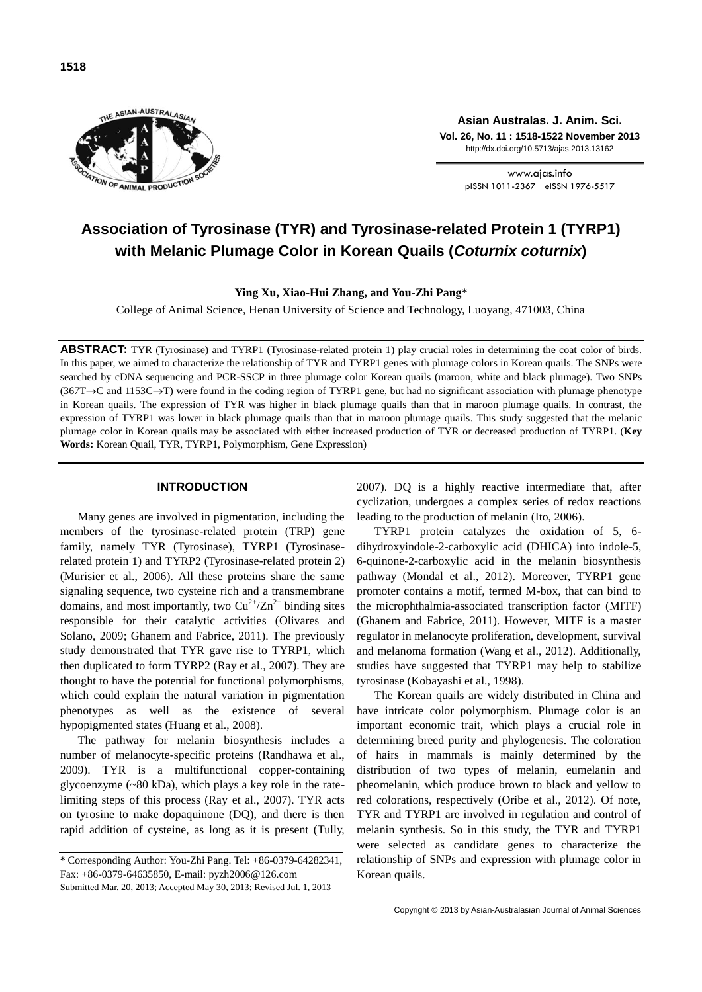

**Asian Australas. J. Anim. Sci. Vol. 26, No. 11 : 1518-1522 November 2013** http://dx.doi.org/10.5713/ajas.2013.13162

> www.ajas.info pISSN 1011-2367 eISSN 1976-5517

# **Association of Tyrosinase (TYR) and Tyrosinase-related Protein 1 (TYRP1) with Melanic Plumage Color in Korean Quails (***Coturnix coturnix***)**

**Ying Xu, Xiao-Hui Zhang, and You-Zhi Pang**\*

College of Animal Science, Henan University of Science and Technology, Luoyang, 471003, China

**ABSTRACT:** TYR (Tyrosinase) and TYRP1 (Tyrosinase-related protein 1) play crucial roles in determining the coat color of birds. In this paper, we aimed to characterize the relationship of TYR and TYRP1 genes with plumage colors in Korean quails. The SNPs were searched by cDNA sequencing and PCR-SSCP in three plumage color Korean quails (maroon, white and black plumage). Two SNPs  $(367T\rightarrow C$  and  $1153C\rightarrow T$ ) were found in the coding region of TYRP1 gene, but had no significant association with plumage phenotype in Korean quails. The expression of TYR was higher in black plumage quails than that in maroon plumage quails. In contrast, the expression of TYRP1 was lower in black plumage quails than that in maroon plumage quails. This study suggested that the melanic plumage color in Korean quails may be associated with either increased production of TYR or decreased production of TYRP1. (**Key Words:** Korean Quail, TYR, TYRP1, Polymorphism, Gene Expression)

## **INTRODUCTION**

Many genes are involved in pigmentation, including the members of the tyrosinase-related protein (TRP) gene family, namely TYR (Tyrosinase), TYRP1 (Tyrosinaserelated protein 1) and TYRP2 (Tyrosinase-related protein 2) (Murisier et al., 2006). All these proteins share the same signaling sequence, two cysteine rich and a transmembrane domains, and most importantly, two  $Cu^{2+}/Zn^{2+}$  binding sites responsible for their catalytic activities (Olivares and Solano, 2009; Ghanem and Fabrice, 2011). The previously study demonstrated that TYR gave rise to TYRP1, which then duplicated to form TYRP2 (Ray et al., 2007). They are thought to have the potential for functional polymorphisms, which could explain the natural variation in pigmentation phenotypes as well as the existence of several hypopigmented states (Huang et al., 2008).

The pathway for melanin biosynthesis includes a number of melanocyte-specific proteins (Randhawa et al., 2009). TYR is a multifunctional copper-containing glycoenzyme (~80 kDa), which plays a key role in the ratelimiting steps of this process (Ray et al., 2007). TYR acts on tyrosine to make dopaquinone (DQ), and there is then rapid addition of cysteine, as long as it is present (Tully, 2007). DQ is a highly reactive intermediate that, after cyclization, undergoes a complex series of redox reactions leading to the production of melanin (Ito, 2006).

TYRP1 protein catalyzes the oxidation of 5, 6 dihydroxyindole-2-carboxylic acid (DHICA) into indole-5, 6-quinone-2-carboxylic acid in the melanin biosynthesis pathway (Mondal et al., 2012). Moreover, TYRP1 gene promoter contains a motif, termed M-box, that can bind to the microphthalmia-associated transcription factor (MITF) (Ghanem and Fabrice, 2011). However, MITF is a master regulator in melanocyte proliferation, development, survival and melanoma formation (Wang et al., 2012). Additionally, studies have suggested that TYRP1 may help to stabilize tyrosinase (Kobayashi et al., 1998).

The Korean quails are widely distributed in China and have intricate color polymorphism. Plumage color is an important economic trait, which plays a crucial role in determining breed purity and phylogenesis. The coloration of hairs in mammals is mainly determined by the distribution of two types of melanin, eumelanin and pheomelanin, which produce brown to black and yellow to red colorations, respectively (Oribe et al., 2012). Of note, TYR and TYRP1 are involved in regulation and control of melanin synthesis. So in this study, the TYR and TYRP1 were selected as candidate genes to characterize the relationship of SNPs and expression with plumage color in Korean quails.

<sup>\*</sup> Corresponding Author: You-Zhi Pang. Tel: +86-0379-64282341, Fax: +86-0379-64635850, E-mail: pyzh2006@126.com Submitted Mar. 20, 2013; Accepted May 30, 2013; Revised Jul. 1, 2013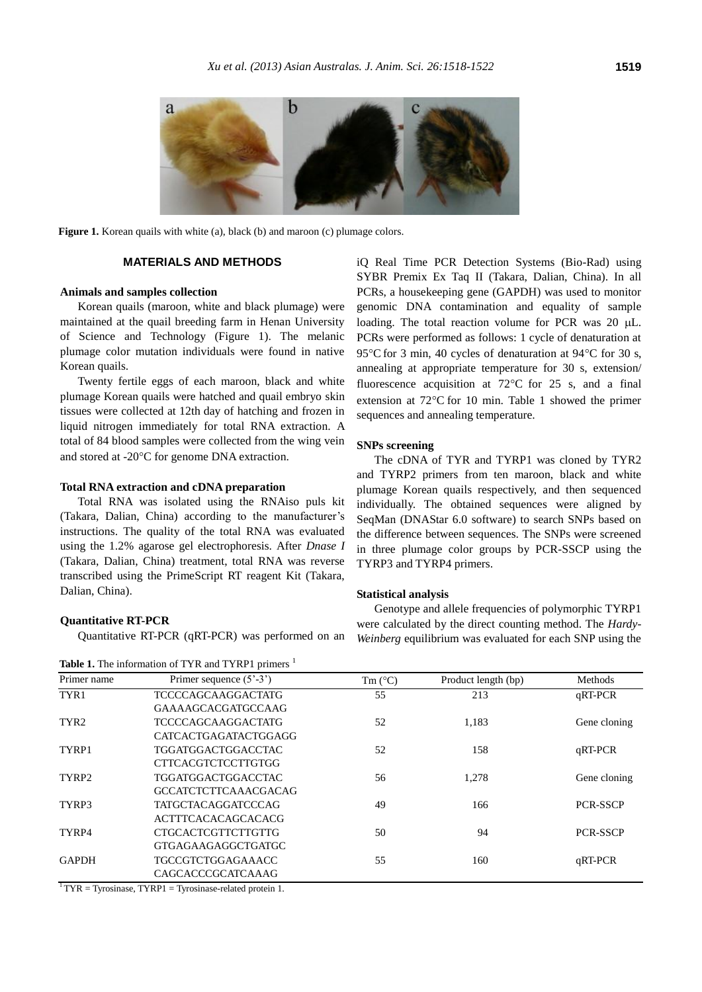

**Figure 1.** Korean quails with white (a), black (b) and maroon (c) plumage colors.

## **MATERIALS AND METHODS**

## **Animals and samples collection**

Korean quails (maroon, white and black plumage) were maintained at the quail breeding farm in Henan University of Science and Technology (Figure 1). The melanic plumage color mutation individuals were found in native Korean quails.

Twenty fertile eggs of each maroon, black and white plumage Korean quails were hatched and quail embryo skin tissues were collected at 12th day of hatching and frozen in liquid nitrogen immediately for total RNA extraction. A total of 84 blood samples were collected from the wing vein and stored at -20°C for genome DNA extraction.

# **Total RNA extraction and cDNA preparation**

Total RNA was isolated using the RNAiso puls kit (Takara, Dalian, China) according to the manufacturer's instructions. The quality of the total RNA was evaluated using the 1.2% agarose gel electrophoresis. After *Dnase I* (Takara, Dalian, China) treatment, total RNA was reverse transcribed using the PrimeScript RT reagent Kit (Takara, Dalian, China).

### **Quantitative RT-PCR**

Quantitative RT-PCR (qRT-PCR) was performed on an

| <b>Table 1.</b> The information of TYR and TYRP1 primers <sup>1</sup> |  |  |
|-----------------------------------------------------------------------|--|--|
|-----------------------------------------------------------------------|--|--|

iQ Real Time PCR Detection Systems (Bio-Rad) using SYBR Premix Ex Taq II (Takara, Dalian, China). In all PCRs, a housekeeping gene (GAPDH) was used to monitor genomic DNA contamination and equality of sample loading. The total reaction volume for PCR was  $20 \mu L$ . PCRs were performed as follows: 1 cycle of denaturation at 95 $\degree$ C for 3 min, 40 cycles of denaturation at 94 $\degree$ C for 30 s, annealing at appropriate temperature for 30 s, extension/ fluorescence acquisition at  $72^{\circ}$ C for 25 s, and a final extension at  $72^{\circ}$ C for 10 min. Table 1 showed the primer sequences and annealing temperature.

## **SNPs screening**

The cDNA of TYR and TYRP1 was cloned by TYR2 and TYRP2 primers from ten maroon, black and white plumage Korean quails respectively, and then sequenced individually. The obtained sequences were aligned by SeqMan (DNAStar 6.0 software) to search SNPs based on the difference between sequences. The SNPs were screened in three plumage color groups by PCR-SSCP using the TYRP3 and TYRP4 primers.

#### **Statistical analysis**

Genotype and allele frequencies of polymorphic TYRP1 were calculated by the direct counting method. The *Hardy-Weinberg* equilibrium was evaluated for each SNP using the

| Primer name       | Primer sequence $(5^{\circ}-3^{\circ})$ | Tm $(^{\circ}C)$ | Product length (bp) | Methods         |
|-------------------|-----------------------------------------|------------------|---------------------|-----------------|
| TYR1              | <b>TCCCCAGCAAGGACTATG</b>               | 55               | 213                 | qRT-PCR         |
|                   | <b>GAAAAGCACGATGCCAAG</b>               |                  |                     |                 |
| TYR <sub>2</sub>  | <b>TCCCCAGCAAGGACTATG</b>               | 52               | 1,183               | Gene cloning    |
|                   | CATCACTGAGATACTGGAGG                    |                  |                     |                 |
| TYRP1             | <b>TGGATGGACTGGACCTAC</b>               | 52               | 158                 | qRT-PCR         |
|                   | <b>CTTCACGTCTCCTTGTGG</b>               |                  |                     |                 |
| TYRP <sub>2</sub> | <b>TGGATGGACTGGACCTAC</b>               | 56               | 1,278               | Gene cloning    |
|                   | <b>GCCATCTCTTCAAACGACAG</b>             |                  |                     |                 |
| TYRP3             | <b>TATGCTACAGGATCCCAG</b>               | 49               | 166                 | <b>PCR-SSCP</b> |
|                   | <b>ACTTTCACACAGCACACG</b>               |                  |                     |                 |
| TYRP4             | <b>CTGCACTCGTTCTTGTTG</b>               | 50               | 94                  | <b>PCR-SSCP</b> |
|                   | GTGAGAAGAGGCTGATGC                      |                  |                     |                 |
| <b>GAPDH</b>      | <b>TGCCGTCTGGAGAAACC</b>                | 55               | 160                 | qRT-PCR         |
|                   | CAGCACCCGCATCAAAG                       |                  |                     |                 |

 $1$ <sup>1</sup> TYR = Tyrosinase, TYRP1 = Tyrosinase-related protein 1.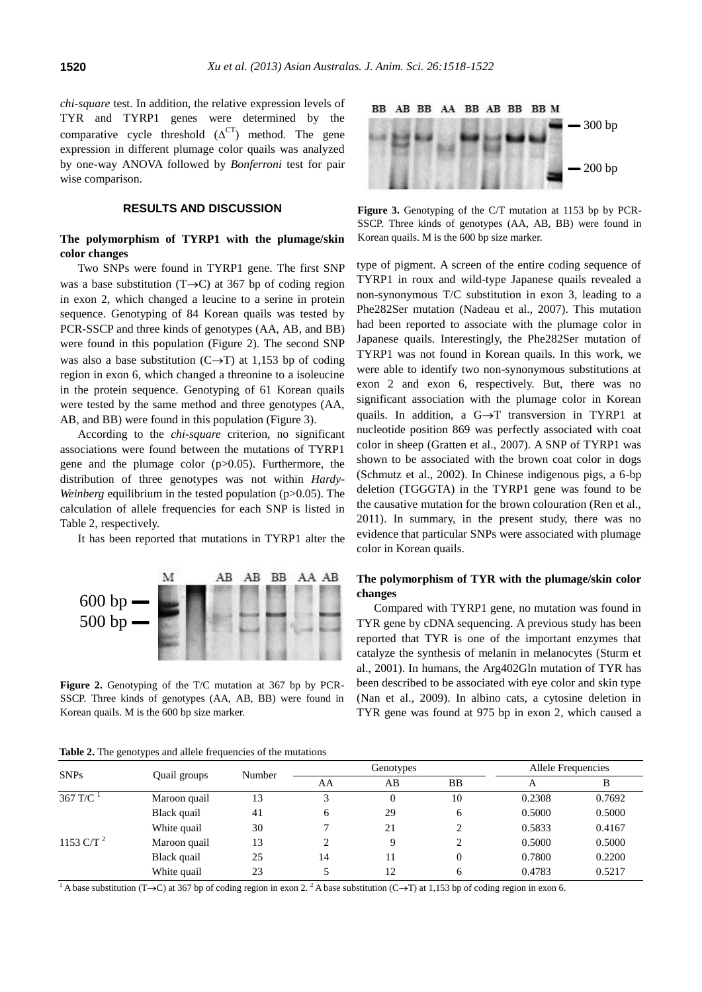*chi-square* test. In addition, the relative expression levels of TYR and TYRP1 genes were determined by the comparative cycle threshold  $(\Delta^{CT})$  method. The gene expression in different plumage color quails was analyzed by one-way ANOVA followed by *Bonferroni* test for pair wise comparison.

## **RESULTS AND DISCUSSION**

# **The polymorphism of TYRP1 with the plumage/skin color changes**

Two SNPs were found in TYRP1 gene. The first SNP was a base substitution  $(T\rightarrow C)$  at 367 bp of coding region in exon 2, which changed a leucine to a serine in protein sequence. Genotyping of 84 Korean quails was tested by PCR-SSCP and three kinds of genotypes (AA, AB, and BB) were found in this population (Figure 2). The second SNP was also a base substitution  $(C \rightarrow T)$  at 1,153 bp of coding region in exon 6, which changed a threonine to a isoleucine in the protein sequence. Genotyping of 61 Korean quails were tested by the same method and three genotypes (AA, AB, and BB) were found in this population (Figure 3).

According to the *chi-square* criterion, no significant associations were found between the mutations of TYRP1 gene and the plumage color (p>0.05). Furthermore, the distribution of three genotypes was not within *Hardy-Weinberg* equilibrium in the tested population (p>0.05). The calculation of allele frequencies for each SNP is listed in Table 2, respectively.

It has been reported that mutations in TYRP1 alter the



**Figure 2.** Genotyping of the T/C mutation at 367 bp by PCR-SSCP. Three kinds of genotypes (AA, AB, BB) were found in Korean quails. M is the 600 bp size marker.



**Figure 3.** Genotyping of the C/T mutation at 1153 bp by PCR-SSCP. Three kinds of genotypes (AA, AB, BB) were found in Korean quails. M is the 600 bp size marker.

type of pigment. A screen of the entire coding sequence of TYRP1 in roux and wild-type Japanese quails revealed a non-synonymous T/C substitution in exon 3, leading to a Phe282Ser mutation (Nadeau et al., 2007). This mutation had been reported to associate with the plumage color in Japanese quails. Interestingly, the Phe282Ser mutation of TYRP1 was not found in Korean quails. In this work, we were able to identify two non-synonymous substitutions at exon 2 and exon 6, respectively. But, there was no significant association with the plumage color in Korean quails. In addition, a  $G \rightarrow T$  transversion in TYRP1 at nucleotide position 869 was perfectly associated with coat color in sheep (Gratten et al., 2007). A SNP of TYRP1 was shown to be associated with the brown coat color in dogs (Schmutz et al., 2002). In Chinese indigenous pigs, a 6-bp deletion (TGGGTA) in the TYRP1 gene was found to be the causative mutation for the brown colouration (Ren et al., 2011). In summary, in the present study, there was no evidence that particular SNPs were associated with plumage color in Korean quails.

## **The polymorphism of TYR with the plumage/skin color changes**

Compared with TYRP1 gene, no mutation was found in TYR gene by cDNA sequencing. A previous study has been reported that TYR is one of the important enzymes that catalyze the synthesis of melanin in melanocytes (Sturm et al., 2001). In humans, the Arg402Gln mutation of TYR has been described to be associated with eye color and skin type (Nan et al., 2009). In albino cats, a cytosine deletion in TYR gene was found at 975 bp in exon 2, which caused a

| <b>SNPs</b>            | Quail groups | Number | Genotypes |    |    | Allele Frequencies |        |
|------------------------|--------------|--------|-----------|----|----|--------------------|--------|
|                        |              |        | AΑ        | AВ | BB | А                  | В      |
| $367 \text{ T/C}^{-1}$ | Maroon quail | 13     | 3         | 0  | 10 | 0.2308             | 0.7692 |
|                        | Black quail  | 41     | 6         | 29 | 6  | 0.5000             | 0.5000 |
|                        | White quail  | 30     | 7         | 21 | ↑  | 0.5833             | 0.4167 |
| 1153 C/T <sup>2</sup>  | Maroon quail | 13     | 2         | 9  | ↑  | 0.5000             | 0.5000 |
|                        | Black quail  | 25     | 14        | 11 | 0  | 0.7800             | 0.2200 |
|                        | White quail  | 23     |           | 12 | 6  | 0.4783             | 0.5217 |

**Table 2.** The genotypes and allele frequencies of the mutations

<sup>1</sup> A base substitution (T->C) at 367 bp of coding region in exon 2.<sup>2</sup> A base substitution (C->T) at 1,153 bp of coding region in exon 6.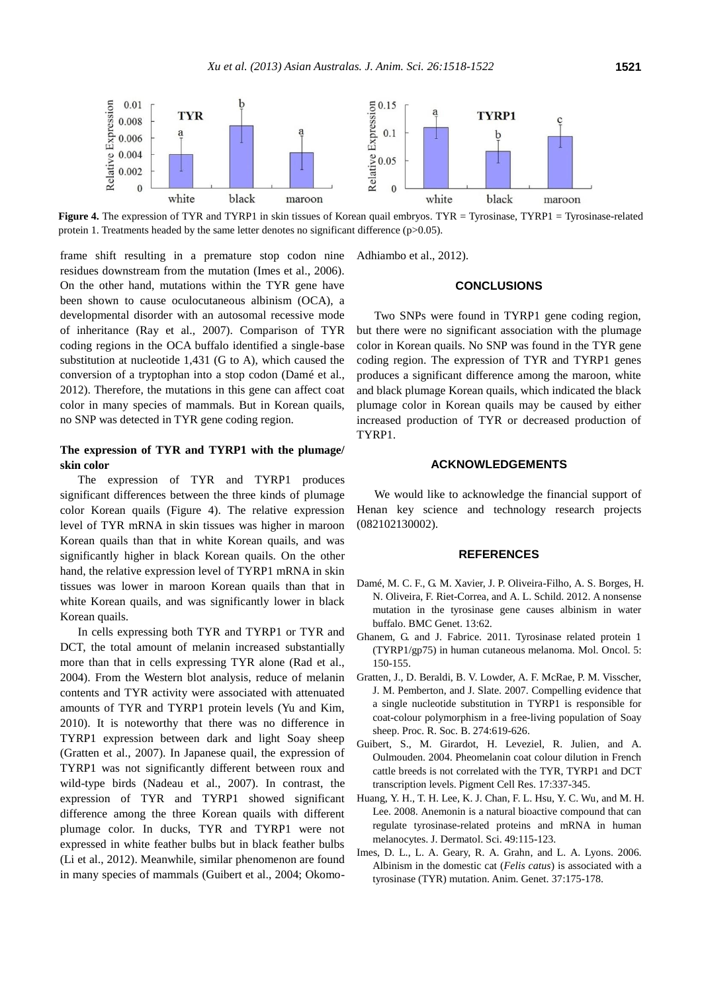

**Figure 4.** The expression of TYR and TYRP1 in skin tissues of Korean quail embryos. TYR = Tyrosinase, TYRP1 = Tyrosinase-related protein 1. Treatments headed by the same letter denotes no significant difference (p>0.05).

frame shift resulting in a premature stop codon nine residues downstream from the mutation (Imes et al., 2006). On the other hand, mutations within the TYR gene have been shown to cause oculocutaneous albinism (OCA), a developmental disorder with an autosomal recessive mode of inheritance (Ray et al., 2007). Comparison of TYR coding regions in the OCA buffalo identified a single-base substitution at nucleotide 1,431 (G to A), which caused the conversion of a tryptophan into a stop codon (Damé et al., 2012). Therefore, the mutations in this gene can affect coat color in many species of mammals. But in Korean quails, no SNP was detected in TYR gene coding region.

## **The expression of TYR and TYRP1 with the plumage/ skin color**

The expression of TYR and TYRP1 produces significant differences between the three kinds of plumage color Korean quails (Figure 4). The relative expression level of TYR mRNA in skin tissues was higher in maroon Korean quails than that in white Korean quails, and was significantly higher in black Korean quails. On the other hand, the relative expression level of TYRP1 mRNA in skin tissues was lower in maroon Korean quails than that in white Korean quails, and was significantly lower in black Korean quails.

In cells expressing both TYR and TYRP1 or TYR and DCT, the total amount of melanin increased substantially more than that in cells expressing TYR alone (Rad et al., 2004). From the Western blot analysis, reduce of melanin contents and TYR activity were associated with attenuated amounts of TYR and TYRP1 protein levels (Yu and Kim, 2010). It is noteworthy that there was no difference in TYRP1 expression between dark and light Soay sheep (Gratten et al., 2007). In Japanese quail, the expression of TYRP1 was not significantly different between roux and wild-type birds (Nadeau et al., 2007). In contrast, the expression of TYR and TYRP1 showed significant difference among the three Korean quails with different plumage color. In ducks, TYR and TYRP1 were not expressed in white feather bulbs but in black feather bulbs (Li et al., 2012). Meanwhile, similar phenomenon are found in many species of mammals (Guibert et al., 2004; Okomo-

Adhiambo et al., 2012).

## **CONCLUSIONS**

Two SNPs were found in TYRP1 gene coding region, but there were no significant association with the plumage color in Korean quails. No SNP was found in the TYR gene coding region. The expression of TYR and TYRP1 genes produces a significant difference among the maroon, white and black plumage Korean quails, which indicated the black plumage color in Korean quails may be caused by either increased production of TYR or decreased production of TYRP1.

### **ACKNOWLEDGEMENTS**

We would like to acknowledge the financial support of Henan key science and technology research projects (082102130002).

#### **REFERENCES**

- Damé, M. C. F., G. M. Xavier, J. P. Oliveira-Filho, A. S. Borges, H. N. Oliveira, F. Riet-Correa, and A. L. Schild. 2012. A nonsense mutation in the tyrosinase gene causes albinism in water buffalo. BMC Genet. 13:62.
- Ghanem, G. and J. Fabrice. 2011. Tyrosinase related protein 1 (TYRP1/gp75) in human cutaneous melanoma. Mol. Oncol. 5: 150-155.
- Gratten, J., D. Beraldi, B. V. Lowder, A. F. McRae, P. M. Visscher, J. M. Pemberton, and J. Slate. 2007. Compelling evidence that a single nucleotide substitution in TYRP1 is responsible for coat-colour polymorphism in a free-living population of Soay sheep. Proc. R. Soc. B. 274:619-626.
- Guibert, S., M. Girardot, H. Leveziel, R. Julien, and A. Oulmouden. 2004. Pheomelanin coat colour dilution in French cattle breeds is not correlated with the TYR, TYRP1 and DCT transcription levels. Pigment Cell Res. 17:337-345.
- Huang, Y. H., T. H. Lee, K. J. Chan, F. L. Hsu, Y. C. Wu, and M. H. Lee. 2008. Anemonin is a natural bioactive compound that can regulate tyrosinase-related proteins and mRNA in human melanocytes. J. Dermatol. Sci. 49:115-123.
- Imes, D. L., L. A. Geary, R. A. Grahn, and L. A. Lyons. 2006. Albinism in the domestic cat (*Felis catus*) is associated with a tyrosinase (TYR) mutation. Anim. Genet. 37:175-178.